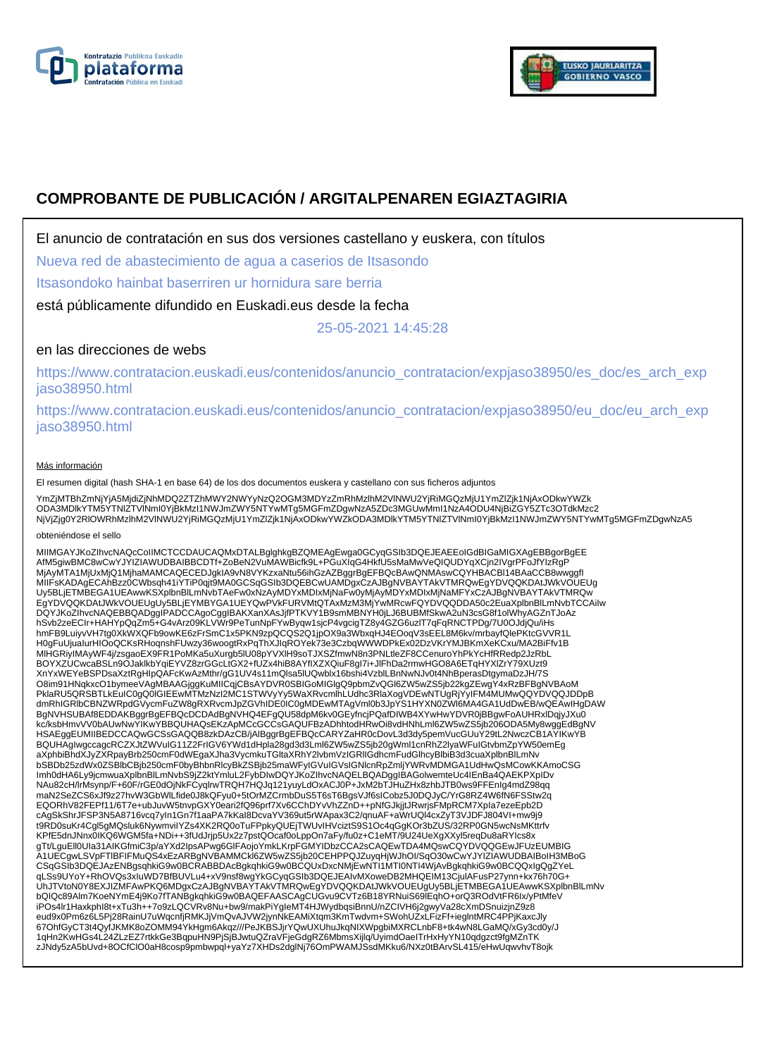



# **COMPROBANTE DE PUBLICACIÓN / ARGITALPENAREN EGIAZTAGIRIA**

El anuncio de contratación en sus dos versiones castellano y euskera, con títulos

Nueva red de abastecimiento de agua a caserios de Itsasondo

Itsasondoko hainbat baserriren ur hornidura sare berria

está públicamente difundido en Euskadi.eus desde la fecha

25-05-2021 14:45:28

## en las direcciones de webs

https://www.contratacion.euskadi.eus/contenidos/anuncio\_contratacion/expjaso38950/es\_doc/es\_arch\_exp jaso38950.html

https://www.contratacion.euskadi.eus/contenidos/anuncio\_contratacion/expjaso38950/eu\_doc/eu\_arch\_exp jaso38950.html

### Más información

El resumen digital (hash SHA-1 en base 64) de los dos documentos euskera y castellano con sus ficheros adjuntos

YmZjMTBhZmNjYjA5MjdiZjNhMDQ2ZTZhMWY2NWYyNzQ2OGM3MDYzZmRhMzlhM2VlNWU2YjRiMGQzMjU1YmZlZjk1NjAxODkwYWZk ODA3MDlkYTM5YTNIZTVINmI0YjBkMzI1NWJmZWY5NTYwMTg5MGFmZDgwNzA5ZDc3MGUwMmI1NzA4ODU4NjBiZGY5ZTc3OTdkMzc2<br>NjVjZjg0Y2RIOWRhMzIhM2VINWU2YjRiMGQzMjU1YmZlZjk1NjAxODkwYWZkODA3MDlkYTM5YTNIZTVINmI0YjBkMzI1NWJmZWY5NTYwMTg5MGFmZDgwNzA5

#### obteniéndose el sello

MIIMGAYJKoZIhvcNAQcCoIIMCTCCDAUCAQMxDTALBglghkgBZQMEAgEwga0GCyqGSIb3DQEJEAEEoIGdBIGaMIGXAgEBBgorBgEE<br>AfM5giwBMC8wCwYJYIZIAWUDBAIBBCDTf+ZoBeN2VuMAWBicfk9L+PGuXIqG4HkfU5sMaMwVeQIQUDYqXCjn2IVgrPFoJfYIzRgP MjAyMTA1MjUxMjQ1MjhaMAMCAQECEDJgkIA9vN8VYKzxaNtu56ihGzAZBggrBgEFBQcBAwQNMAswCQYHBACBI14BAaCCB8wwggfI<br>MIIFsKADAgECAhBzz0CWbsqh41iYTiP0qjt9MA0GCSqGSIb3DQEBCwUAMDgxCzAJBgNVBAYTAkVTMRQwEgYDVQQKDAtJWkVOUEUg Uy5BLjETMBEGA1UEAwwKSXplbnBlLmNvbTAeFw0xNzAyMDYxMDIxMjNaFw0yMjAyMDYxMDIxMjNaMFYxCzAJBgNVBAYTAkVTMRQw EgYDVQQKDAtJWkVOUEUgUy5BLjEYMBYGA1UEYQwPVkFURVMtQTAxMzM3MjYwMRcwFQYDVQQDDA50c2EuaXplbnBlLmNvbTCCAiIw DQYJKoZIhvcNAQEBBQADggIPADCCAgoCggIBAKXanXAsJjfPTKVY1B9smMBNYH0jLJ6BUBMfSkwA2uN3csG8f1olWhyAGZnTJoAz hSvb2zeECIr+HAHYpQqZm5+G4vArz09KLVWr9PeTunNpFYwByqw1sjcP4vgcigTZ8y4GZG6uzlT7qFqRNCTPDg/7U0OJdjQu/iHs hmFB9LuiyvVH7tg0XkWXQFb9owKE6zFrSmC1x5PKN9zpQCQS2Q1jpOX9a3WbxqHJ4EOoqV3sEEL8M6kv/mrbayfQlePKtcGVVR1L<br>H0gFuUjualurHlOoQCKsRHoqnshFUwzy36woogtRxPqThXJIqROYek73e3CzbqWWWDPkEx02DzVKrYMJBKmXeKCxu/MA2BiFfv1B<br>MIHGRiyIMAyWF4j/zsga XnYxWEYeBSPDsaXztRgHIpQAFcKwAzMthr/gG1UV4s11mQlsa5lUQwblx16bshi4VzblLBnNwNJv0t4NhBperasDtgymaDzJH/7S O8im91HNqkxcO1bymeeVAgMBAAGjggKuMIICqjCBsAYDVR0SBIGoMIGlgQ9pbmZvQGl6ZW5wZS5jb22kgZEwgY4xRzBFBgNVBAoM PklaRU5QRSBTLkEuIC0gQ0lGIEEwMTMzNzI2MC1STWVyYy5WaXRvcmlhLUdhc3RlaXogVDEwNTUgRjYyIFM4MUMwQQYDVQQJDDpB dmRhIGRlbCBNZWRpdGVycmFuZW8gRXRvcmJpZGVhIDE0IC0gMDEwMTAgVml0b3JpYS1HYXN0ZWl6MA4GA1UdDwEB/wQEAwIHgDAW BgNVHSUBAf8EDDAKBggrBgEFBQcDCDAdBgNVHQ4EFgQU58dpM6kv0GEyfncjPQafDIWB4XYwHwYDVR0jBBgwFoAUHRxlDqjyJXu0<br>kc/ksbHmvVV0bAUwNwYIKwYBBQUHAQsEKzApMCcGCCsGAQUFBzADhhtodHRwOi8vdHNhLml6ZW5wZS5jb206ODA5My8wggEdBgNV HSAEggEUMIIBEDCCAQwGCSsGAQQB8zkDAzCB/jAlBggrBgEFBQcCARYZaHR0cDovL3d3dy5pemVucGUuY29tL2NwczCB1AYIKwYB BQUHAgIwgccagcRCZXJtZWVuIG11Z2FrIGV6YWd1dHpla28gd3d3Lml6ZW5wZS5jb20gWml1cnRhZ2lyaWFuIGtvbmZpYW50emEg<br>aXphbiBhdXJyZXRpayBrb250cmF0dWEgaXJha3VycmkuTGltaXRhY2lvbmVzIGRIIGdhcmFudGlhcyBlbiB3d3cuaXplbnBlLmNv bSBDb25zdWx0ZSBlbCBjb250cmF0byBhbnRlcyBkZSBjb25maWFyIGVuIGVsIGNlcnRpZmljYWRvMDMGA1UdHwQsMCowKKAmoCSG Imh0dHA6Ly9jcmwuaXplbnBlLmNvbS9jZ2ktYmluL2FybDIwDQYJKoZIhvcNAQELBQADggIBAGolwemteUc4IEnBa4QAEKPXpIDv NAu82cH/lrMsynp/F+60F/rGE0dOjNkFCyqlrwTRQH7HQJq121yuyLdOxACJ0P+JxM2bTJHuZHx8zhbJTB0ws9FFEnIg4mdZ98qq maN2SeZCS6xJf9z27hvW3GbWlLfide0J8kQFyu0+5tOrMZCrmbDuS5T6sT6BgsVJf6sICobz5J0DQJyC/YrG8RZ4W6fN6FSStw2q EQORhV82FEPf11/6T7e+ubJuvW5tnvpGXY0eari2fQ96prf7Xv6CChDYvVhZZnD++pNfGJkjjtJRwrjsFMpRCM7Xpla7ezeEpb2D<br>cAgSkShrJFSP3N5A8716vcq7yIn1Gn7f1aaPA7kKaI8DcvaYV369ut5rWApax3C2/qnuAF+aWrUQl4cxZyT3VJDFJ804VI+mw9j9<br>t9RD0suKr4Cgl5gMQslu KPfE5dnJNnx0IKQ6WGM5fa+NDi++3fUdJrjp5Ux2z7pstQOcaf0oLppOn7aFy/fu0z+C1eMT/9U24UeXgXXyl5reqDu8aRYIcs8x gTt/LguEll0UIa31AIKGfmiC3p/aYXd2IpsAPwg6GlFAojoYmkLKrpFGMYIDbzCCA2sCAQEwTDA4MQswCQYDVQQGEwJFUzEUMBIG A1UECgwLSVpFTlBFIFMuQS4xEzARBgNVBAMMCkl6ZW5wZS5jb20CEHPPQJZuyqHjWJhOI/SqO30wCwYJYIZIAWUDBAIBoIH3MBoG CSqGSIb3DQEJAzENBgsqhkiG9w0BCRABBDAcBgkqhkiG9w0BCQUxDxcNMjEwNTI1MTI0NTI4WjAvBgkqhkiG9w0BCQQxIgQgZYeL qLSs9UYoY+RhOVQs3xIuWD7BfBUVLu4+xV9nsf8wgYkGCyqGSIb3DQEJEAIvMXoweDB2MHQEIM13CjuIAFusP27ynn+kx76h70G+<br>UhJTVtoN0Y8EXJIZMFAwPKQ6MDgxCzAJBgNVBAYTAkVTMRQwEgYDVQQKDAtJWkVOUEUgUy5BLjETMBEGA1UEAwwKSXplbnBlLmNv bQIQc89Alm7KoeNYmE4j9Ko7fTANBgkqhkiG9w0BAQEFAASCAgCUGvu9CVTz6B18YRNuiS69lEqhO+orQ3ROdVtFR6Ix/yPtMfeV<br>iPOs4lr1Haxkphl8t+xTu3h++7o9zLQCVRv8Nu+bw9/makPiYgIeMT4HJWydbqsiBnnU/nZCIVH6j2gwyVa28cXmDSnuizjnZ9z8 eud9x0Pm6z6L5Pj28RainU7uWqcnfjRMKJjVmQvAJVW2jynNkEAMiXtqm3KmTwdvm+SWohUZxLFizFf+ieglntMRC4PPjKaxcJly 67OhfGyCT3t4QyfJKMK8oZOMM94YkHgm6Akqz///PeJKBSJjrYQwUXUhuJkqNIXWpgbiMXRCLnbF8+tk4wN8LGaMQ/xGy3cd0y/J 1qHn2KwHGs4L24ZLzEZ7rtkkGe3BqpuHN9PjSjBJwtuQZraVFjeGdgRZ6MbmsXijlq/UyimdOaeITrHxHyYN10qdgzct9fgMZnTK zJNdy5zA5bUvd+8OCfClO0aH8cosp9pmbwpql+yaYz7XHDs2dglNj76OmPWAMJSsdMKku6/NXz0tBArvSL415/eHwUqwvhvT8ojk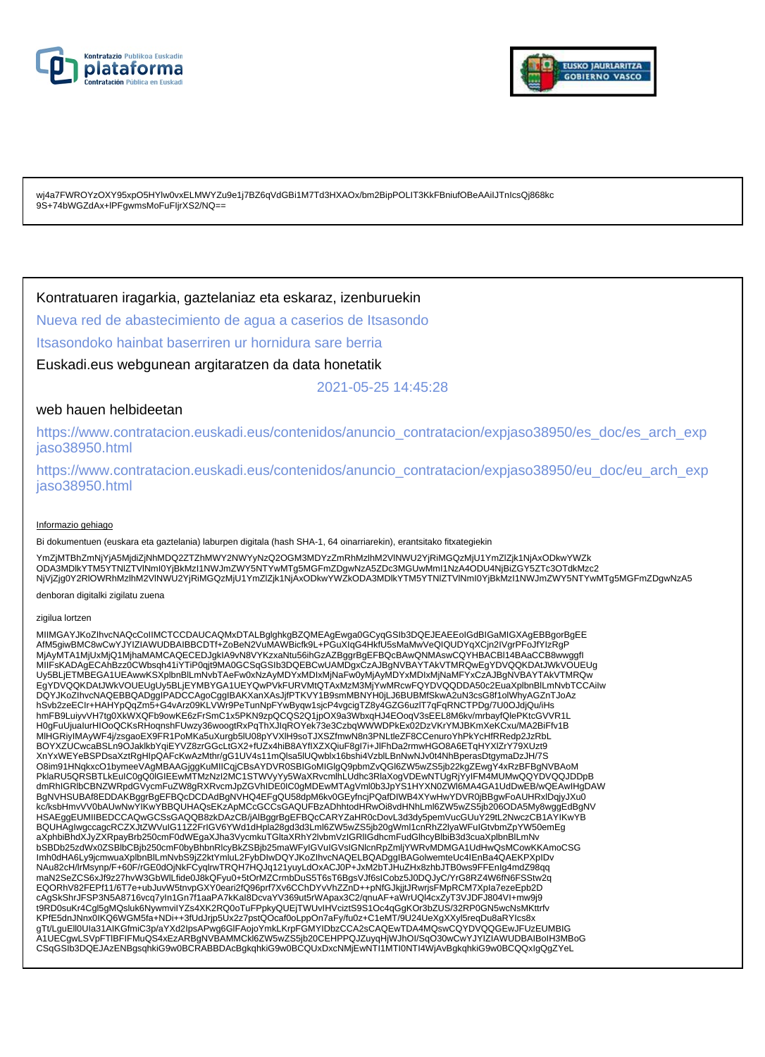



wj4a7FWROYzOXY95xpO5HYlw0vxELMWYZu9e1j7BZ6qVdGBi1M7Td3HXAOx/bm2BipPOLIT3KkFBniufOBeAAiIJTnIcsQj868kc 9S+74bWGZdAx+IPFgwmsMoFuFlirXS2/NQ==

### Kontratuaren iragarkia, gaztelaniaz eta eskaraz, izenburuekin

Nueva red de abastecimiento de agua a caserios de Itsasondo

Itsasondoko hainbat baserriren ur hornidura sare berria

Euskadi.eus webgunean argitaratzen da data honetatik

2021-05-25 14:45:28

### web hauen helbideetan

https://www.contratacion.euskadi.eus/contenidos/anuncio\_contratacion/expjaso38950/es\_doc/es\_arch\_exp jaso38950.html

https://www.contratacion.euskadi.eus/contenidos/anuncio\_contratacion/expjaso38950/eu\_doc/eu\_arch\_exp jaso38950.html

#### Informazio gehiago

Bi dokumentuen (euskara eta gaztelania) laburpen digitala (hash SHA-1, 64 oinarriarekin), erantsitako fitxategiekin

YmZjMTBhZmNjYjA5MjdiZjNhMDQ2ZTZhMWY2NWYyNzQ2OGM3MDYzZmRhMzlhM2VlNWU2YjRiMGQzMjU1YmZlZjk1NjAxODkwYWZk ODA3MDlkYTM5YTNIZTVINmI0YjBkMzI1NWJmZWY5NTYwMTg5MGFmZDgwNzA5ZDc3MGUwMmI1NzA4ODU4NjBiZGY5ZTc3OTdkMzc2<br>NjVjZjg0Y2RIOWRhMzIhM2VINWU2YjRiMGQzMjU1YmZlZjk1NjAxODkwYWZkODA3MDlkYTM5YTNIZTVINmI0YjBkMzI1NWJmZWY5NTYwMTg5MGFmZDgwNzA5

denboran digitalki zigilatu zuena

#### zigilua lortzen

MIIMGAYJKoZIhvcNAQcCoIIMCTCCDAUCAQMxDTALBglghkgBZQMEAgEwga0GCyqGSIb3DQEJEAEEoIGdBIGaMIGXAgEBBgorBgEE AfM5giwBMC8wCwYJYIZIAWUDBAIBBCDTf+ZoBeN2VuMAWBicfk9L+PGuXIqG4HkfU5sMaMwVeQIQUDYqXCjn2IVgrPFoJfYIzRgP MjAyMTA1MjUxMjQ1MjhaMAMCAQECEDJgkIA9vN8VYKzxaNtu56ihGzAZBggrBgEFBQcBAwQNMAswCQYHBACBl14BAaCCB8wwggfI MIIFsKADAgECAhBzz0CWbsqh41iYTiP0qjt9MA0GCSqGSIb3DQEBCwUAMDgxCzAJBgNVBAYTAkVTMRQwEgYDVQQKDAtJWkVOUEUg Uy5BLjETMBEGA1UEAwwKSXplbnBlLmNvbTAeFw0xNzAyMDYxMDIxMjNaFw0yMjAyMDYxMDIxMjNaMFYxCzAJBgNVBAYTAkVTMRQw EgYDVQQKDAtJWkVOUEUgUy5BLjEYMBYGA1UEYQwPVkFURVMtQTAxMzM3MjYwMRcwFQYDVQQDDA50c2EuaXplbnBlLmNvbTCCAiIw<br>DQYJKoZIhvcNAQEBBQADggIPADCCAgoCggIBAKXanXAsJjfPTKVY1B9smMBNYH0jLJ6BUBMfSkwA2uN3csG8f1olWhyAGZnTJoAz hSvb2zeECIr+HAHYpQqZm5+G4vArz09KLVWr9PeTunNpFYwByqw1sjcP4vgcigTZ8y4GZG6uzlT7qFqRNCTPDg/7U0OJdjQu/iHs hmFB9LuiyvVH7tg0XkWXQFb9owKE6zFrSmC1x5PKN9zpQCQS2Q1jpOX9a3WbxqHJ4EOoqV3sEEL8M6kv/mrbayfQlePKtcGVVR1L H0gFuUjuaIurHIOoQCKsRHoqnshFUwzy36woogtRxPqThXJIqROYek73e3CzbqWWWDPkEx02DzVKrYMJBKmXeKCxu/MA2BiFfv1B MlHGRiyIMAyWF4j/zsgaoEX9FR1PoMKa5uXurgb5lU08pYVXlH9soTJXSZfmwN8n3PNLtleZF8CCenuroYhPkYcHfRRedp2JzRbL BOYXZUCwcaBSLn9OJaklkbYqiEYVZ8zrGGcLtGX2+fUZx4hiB8AYfIXZXQiuF8gI7i+JlFhDa2rmwHGO8A6ETqHYXlZrY79XUzt9 XnYxWEYeBSPDsaXztRgHIpQAFcKwAzMthr/gG1UV4s11mQlsa5lUQwblx16bshi4VzblLBnNwNJv0t4NhBperasDtgymaDzJH/7S O8im91HNqkxcO1bymeeVAgMBAAGjggKuMIICqjCBsAYDVR0SBIGoMIGIgQ9pbmZvQGI6ZW5wZS5jb22kgZEwgY4xRzBFBgNVBAoM<br>PklaRU5QRSBTLkEuIC0gQ0IGIEEwMTMzNzI2MC1STWVyYy5WaXRvcmlhLUdhc3RlaXogVDEwNTUgRjYyIFM4MUMwQQYDVQQJDDpB dmRhIGRlbCBNZWRpdGVycmFuZW8gRXRvcmJpZGVhIDE0IC0gMDEwMTAgVml0b3JpYS1HYXN0ZWl6MA4GA1UdDwEB/wQEAwIHgDAW BgNVHSUBAf8EDDAKBggrBgEFBQcDCDAdBgNVHQ4EFgQU58dpM6kv0GEyfncjPQafDIWB4XYwHwYDVR0jBBgwFoAUHRxlDqjyJXu0 kc/ksbHmvVV0bAUwNwYIKwYBBQUHAQsEKzApMCcGCCsGAQUFBzADhhtodHRwOi8vdHNhLml6ZW5wZS5jb206ODA5My8wggEdBgNV HSAEggEUMIIBEDCCAQwGCSsGAQQB8zkDAzCB/jAlBggrBgEFBQcCARYZaHR0cDovL3d3dy5pemVucGUuY29tL2NwczCB1AYIKwYB BQUHAgIwgccagcRCZXJtZWVuIG11Z2FrIGV6YWd1dHpla28gd3d3Lml6ZW5wZS5jb20gWml1cnRhZ2lyaWFuIGtvbmZpYW50emEg aXphbiBhdXJyZXRpayBrb250cmF0dWEgaXJha3VycmkuTGltaXRhY2lvbmVzIGRlIGdhcmFudGlhcyBlbiB3d3cuaXplbnBlLmNv bSBDb25zdWx0ZSBlbCBjb250cmF0byBhbnRlcyBkZSBjb25maWFyIGVuIGVsIGNlcnRpZmljYWRvMDMGA1UdHwQsMCowKKAmoCSG Imh0dHA6Ly9jcmwuaXplbnBlLmNvbS9jZ2ktYmluL2FybDIwDQYJKoZIhvcNAQELBQADggIBAGolwemteUc4IEnBa4QAEKPXpIDv NAu82cH/lrMsynp/F+60F/rGE0dOjNkFCyqlrwTRQH7HQJq121yuyLdOxACJ0P+JxM2bTJHuZHx8zhbJTB0ws9FFEnIg4mdZ98qq maN2SeZCS6xJf9z27hvW3GbWlLfide0J8kQFyu0+5tOrMZCrmbDuS5T6sT6BgsVJf6sICobz5J0DQJyC/YrG8RZ4W6fN6FSStw2q EQORhV82FEPf11/6T7e+ubJuvW5tnvpGXY0eari2fQ96prf7Xv6CChDYvVhZZnD++pNfGJkjjtJRwrjsFMpRCM7XpIa7ezeEpb2D cAgSkShrJFSP3N5A8716vcq7yIn1Gn7f1aaPA7kKaI8DcvaYV369ut5rWApax3C2/qnuAF+aWrUQl4cxZyT3VJDFJ804VI+mw9j9 t9RD0suKr4Cgl5gMQsluk6NywmviIYZs4XK2RQ0oTuFPpkyQUEjTWUvIHVciztS9S1Oc4qGgKOr3bZUS/32RP0GN5wcNsMKttrfv KPfE5dnJNnx0IKQ6WGM5fa+NDi++3fUdJrjp5Ux2z7pstQOcaf0oLppOn7aFy/fu0z+C1eMT/9U24UeXgXXyl5reqDu8aRYIcs8x gTt/LguEll0Ula31AIKGfmiC3p/aYXd2lpsAPwg6GlFAojoYmkLKrpFGMYIDbzCCA2sCAQEwTDA4MQswCQYDVQQGEwJFUzEUMBIG<br>A1UECgwLSVpFTIBFIFMuQS4xEzARBgNVBAMMCkl6ZW5wZS5jb20CEHPPQJZuyqHjWJhOI/SqO30wCwYJYIZIAWUDBAIBoIH3MBoG CSqGSIb3DQEJAzENBgsqhkiG9w0BCRABBDAcBgkqhkiG9w0BCQUxDxcNMjEwNTI1MTI0NTI4WjAvBgkqhkiG9w0BCQQxIgQgZYeL